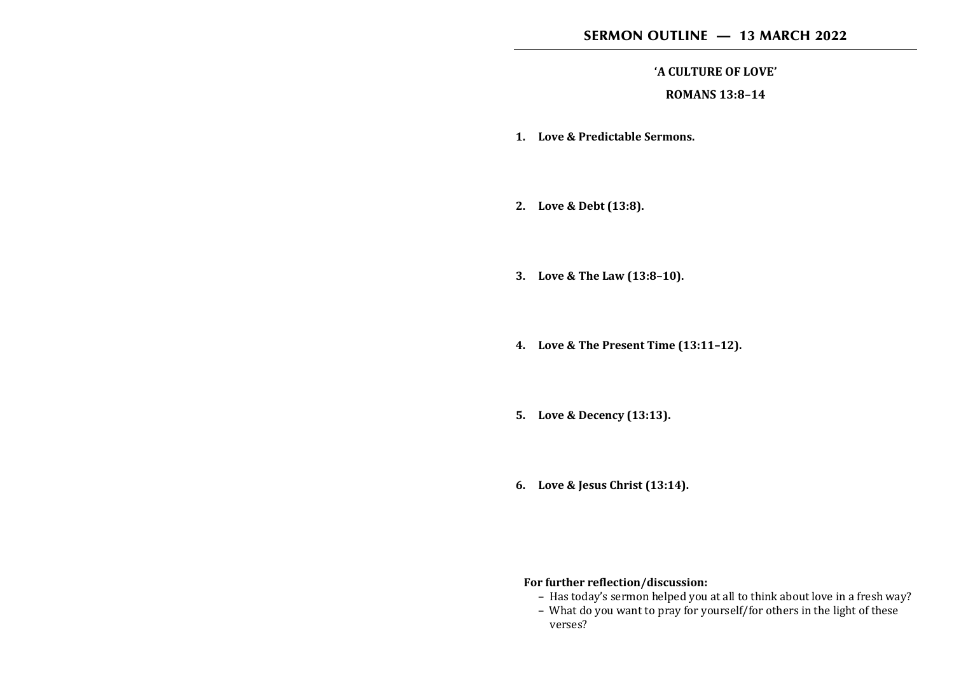### SERMON OUTLINE — 13 MARCH 2022

#### **'A CULTURE OF LOVE'**

#### **ROMANS 13:8–14**

- **1. Love & Predictable Sermons.**
- **2. Love & Debt (13:8).**
- **3. Love & The Law (13:8–10).**
- **4. Love & The Present Time (13:11–12).**
- **5. Love & Decency (13:13).**
- **6. Love & Jesus Christ (13:14).**

# **For further reflection/discussion:**

- Has today's sermon helped you at all to think about love in a fresh way?
- What do you want to pray for yourself/for others in the light of these verses?